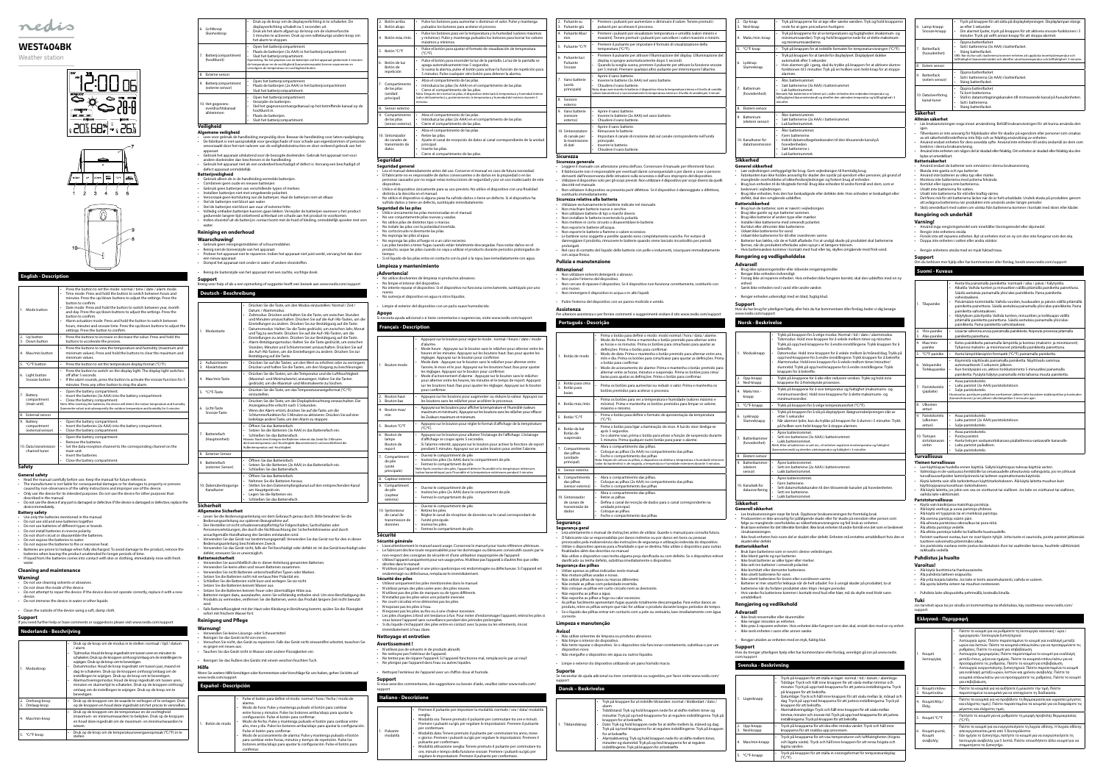# **English - Description**

| 1. Mode button                                 | Press the button to set the mode: normal / time / date / alarm mode.<br>$\ddot{\phantom{0}}$<br>Time mode: Press and hold the button to switch between hours and<br>۰<br>minutes. Press the up/down buttons to adjust the settings. Press the<br>button to confirm.<br>Date mode: Press and hold the button to switch between year, month<br>and day. Press the up/down buttons to adjust the settings. Press the<br>button to confirm.<br>Alarm actuation mode: Press and hold the button to switch between<br>$\ddot{\phantom{0}}$<br>hours, minutes and snooze time. Press the up/down buttons to adjust the<br>settings. Press the button to confirm. |
|------------------------------------------------|-----------------------------------------------------------------------------------------------------------------------------------------------------------------------------------------------------------------------------------------------------------------------------------------------------------------------------------------------------------------------------------------------------------------------------------------------------------------------------------------------------------------------------------------------------------------------------------------------------------------------------------------------------------|
| 2. Up button<br>3. Down button                 | Press the buttons to increase or decrease the value. Press and hold the<br>٠<br>buttons to accelerate the process.                                                                                                                                                                                                                                                                                                                                                                                                                                                                                                                                        |
| 4. Max/min button                              | Press the buttons to view the temperature and humidity (maximum and<br>$\bullet$<br>minimum values). Press and hold the buttons to clear the maximum and<br>minimum values.                                                                                                                                                                                                                                                                                                                                                                                                                                                                               |
| 5. °C/°F button                                | Press the button to set the temperature display format (°C/°F).<br>$\bullet$                                                                                                                                                                                                                                                                                                                                                                                                                                                                                                                                                                              |
| 6. Light button<br>Snooze button               | Press the button to switch on the display light. The display light switches<br>٠<br>off after 5 seconds.<br>If the alarm sounds, press the button to activate the snooze function for 5<br>۰<br>minutes. Press any other button to stop the alarm.                                                                                                                                                                                                                                                                                                                                                                                                        |
| 7. Battery<br>compartment<br>(main unit)       | Open the battery compartment.<br>$\bullet$<br>Insert the batteries (3x AAA) into the battery compartment.<br>$\bullet$<br>Close the battery compartment.<br>$\bullet$<br>Note: After inserting the batteries, the device will detect the indoor temperature and humidity<br>(barometer value) and subsequently the outdoor temperature and humidity for 3 minutes.                                                                                                                                                                                                                                                                                        |
| 8. External sensor                             |                                                                                                                                                                                                                                                                                                                                                                                                                                                                                                                                                                                                                                                           |
| 9. Battery<br>compartment<br>(external sensor) | Open the battery compartment.<br>$\bullet$<br>Insert the batteries (2x AAA) into the battery compartment.<br>Close the battery compartment.<br>٠                                                                                                                                                                                                                                                                                                                                                                                                                                                                                                          |
| 10. Data transmission<br>channel tuner         | Open the battery compartment.<br>۰<br>Remove the batteries.<br>$\bullet$<br>Set the data reception channel to the corresponding channel on the<br>۰<br>main unit.<br>Insert the batteries.<br>$\ddot{\phantom{0}}$<br>Close the battery compartment.<br>۰                                                                                                                                                                                                                                                                                                                                                                                                 |
| <b>Safety</b>                                  |                                                                                                                                                                                                                                                                                                                                                                                                                                                                                                                                                                                                                                                           |

- Read the manual carefully before use. Keep the manual for future reference. • The manufacturer is not liable for consequential damages or for damages to property or persons caused by non-observance of the safety instructions and improper use of the device.
- Only use the device for its intended purposes. Do not use the device for other purposes than scribed in the manual • Do not use the device if any part is damaged or defective. If the device is damaged or defective, replace the

- **Battery safety** Use only the batteries mentioned in the manual.
- Do not use old and new batteries together. Do not use batteries of different types or brands.
- Do not install batteries in reverse polarity.
- Do not short-circuit or disassemble the batteries.
- Do not expose the batteries to water.
- Do not expose the batteries to fire or excessive heat.
- Batteries are prone to leakage when fully discharged. To avoid damage to the product, remove the<br>batteries when leaving the product unattended for longer periods of time.<br>• If liquid from the batteries comes into contac

**General safety**

#### device immediately.

# water.

**Cleaning and maintenance**

- **Warning!** t use cleaning solvents or abrasives.
- Do not clean the inside of the device.
- Do not attempt to repair the device. If the device does not operate correctly, replace it with a new
- device. Do not immerse the device in water or other liquids.

• Clean the outside of the device using a soft, damp cloth.

### **Support**

### If you need further help or have comments or suggestions please visit www.nedis.com/support **Nederlands - Beschrijving**

#### **Deutsch - Beschreibung Modustaste** • Drücken Sie die Taste, um den Modus einzustellen: Normal / Zeit / Datum / Alarmmodus. • Zeitmodus: Drücken und halten Sie die Taste, um zwischen Stunden und Minuten umzuschalten. Drücken Sie auf die Auf-/Ab-Tasten, um die Einstellungen zu ändern. Drücken Sie zur Bestätigung auf die Taste. • Datumsmodus: Halten Sie die Taste gedrückt, um zwischen Jahr, Monat und Tag zu wechseln. Drücken Sie auf die Auf-/Ab-Tasten, um die<br>Einstellungen zu ändern. Drücken Sie zur Bestätigung auf die Taste.<br>• Alarm-Betätigungsmodus: Halten Sie die Taste gedrückt, um zwischen Stunden, Minuten und Schlummerzeit umzuschalten. Drücken Sie auf die Auf-/Ab-Tasten, um die Einstellungen zu ändern. Drücken Sie zur Bestätigung auf die Taste. 2. Aufwärtstaste 3. Abwärtstaste • Drücken Sie auf die Tasten, um den Wert zu erhöhen oder zu verringern. Drücken und halten Sie die Tasten, um den Vorgang zu beschleunigen. Max/min-Taste • Drücken Sie die Tasten, um die Temperatur und die Luftfeuchtigkeit (Maximal- und Minimalwerte) anzuzeigen. Halten Sie die Tasten gedrückt, um die Maximal- und Minimalwerte zu löschen. 5. °C/°F-Taste • Drücken Sie die Taste, um das Temperaturanzeigeformat (°C/°F) einzustellen. Licht-Taste Snooze-Taste • Drücken Sie die Taste, um die Displaybeleuchtung einzuschalten. Die Anzeigeleuchte erlischt nach 5 Sekunden. • Wenn der Alarm ertönt, drücken Sie auf die Taste, um die Schlummerfunktion für 5 Minuten zu aktivieren. Drücken Sie auf eine beliebige andere Taste, um den Alarm zu stoppen. **Batteriefach** (Haupteinheit) • Öffnen Sie das Batteriefach. • Setzen Sie die Batterien (3x AAA) in das Batteriefach ein. • Schließen Sie das Batteriefach.<br>Hinweis: Nach dem Einlegen der Batterien erkennt das Gerät für 3 Minuten<br>die Innentemperatur und -feuchtigkeit.<br>Außentemperatur und -feuchtigkeit. 8. Externer Sensor **Batteriefach** (externer Sensor) • Öffnen Sie das Batteriefach. • Setzen Sie die Batterien (2x AAA) in das Batteriefach ein. • Schließen Sie das Batteriefach. 0. Datenübertra Kanaltuner • Öffnen Sie das Batteriefach. • Nehmen Sie die Batterien heraus. • Stellen Sie den Datenempfangskanal auf den entsprechenden Kanal am Hauptgerät ein. egen Sie die Batterien ein. Schließen Sie das Batteriefach

|  | 1. Modusknop                           | Druk op de knop om de modus in te stellen: normaal / tijd / datum<br>/ alarm.<br>Tijdmodus: Houd de knop ingedrukt om tussen uren en minuten te<br>schakelen. Druk op de knoppen omhoog/omlaag om de instellingen te<br>wijzigen. Druk op de knop om te bevestigen.<br>Datummodus: Houd de knop ingedrukt om tussen jaar, maand en<br>dag te schakelen. Druk op de knoppen omhoog/omlaag om de<br>instellingen te wijzigen. Druk op de knop om te bevestigen.<br>Alarmactiveringsmodus: Houd de knop ingedrukt om tussen uren,<br>minuten en sluimertijd te schakelen. Druk op de knoppen omhoog/<br>omlaag om de instellingen te wijzigen. Druk op de knop om te<br>bevestigen. |
|--|----------------------------------------|----------------------------------------------------------------------------------------------------------------------------------------------------------------------------------------------------------------------------------------------------------------------------------------------------------------------------------------------------------------------------------------------------------------------------------------------------------------------------------------------------------------------------------------------------------------------------------------------------------------------------------------------------------------------------------|
|  | Omhoog-knop<br>2.<br>Omlaag-knop<br>3. | Druk op de knoppen om de waarde te verhogen of te verlagen. Druk<br>op de knoppen en houd deze ingedrukt om het proces te versnellen.                                                                                                                                                                                                                                                                                                                                                                                                                                                                                                                                            |
|  | Max/min-knop<br>4.                     | Druk op de knoppen om de temperatuur en de vochtigheid<br>(maximum- en minimumwaarden) te bekijken. Druk op de knoppen<br>en houd deze ingedrukt om de maximum- en minimumwaarden te<br>wissen.                                                                                                                                                                                                                                                                                                                                                                                                                                                                                  |
|  | 5. °C/°F-knop                          | Druk op de knop om de temperatuurweergaveopmaak (°C/°F) in te<br>stellen.                                                                                                                                                                                                                                                                                                                                                                                                                                                                                                                                                                                                        |

| Lichtknop<br>б.<br>Sluimerknop                      | Druk op de knop om de displayverlichting in te schakelen. De<br>٠<br>displayverlichting schakelt na 5 seconden uit.<br>Druk als het alarm afgaat op de knop om de sluimerfunctie<br>5 minuten te activeren. Druk op een willekeurige andere knop om<br>het alarm te stoppen.                                                                                 |
|-----------------------------------------------------|--------------------------------------------------------------------------------------------------------------------------------------------------------------------------------------------------------------------------------------------------------------------------------------------------------------------------------------------------------------|
| Batterijcompartiment<br>7.<br>(hoofdunit)           | Open het batterijcompartiment.<br>٠<br>Plaats de batterijen (3x AAA) in het batterijcompartiment.<br>٠<br>Sluit het batterijcompartiment.<br>Opmerking: Na het plaatsen van de batterijen zal het apparaat gedurende 3 minuten<br>de temperatuur en de vochtigheid (barometerwaarde) binnen waarnemen en<br>vervolgens de temperatuur en vochtigheid buiten. |
| 8.<br>Externe sensor                                |                                                                                                                                                                                                                                                                                                                                                              |
| Batterijcompartiment<br>9.<br>(externe sensor)      | Open het batterijcompartiment.<br>٠<br>Plaats de batterijen (2x AAA) in het batterijcompartiment.<br>٠<br>Sluit het batterijcompartiment.<br>٠                                                                                                                                                                                                               |
| 10. Het gegevens-<br>overdrachtskanaal<br>afstemmen | Open het batterijcompartiment.<br>٠<br>Verwijder de batterijen.<br>٠<br>Stel het gegevensontvangstkanaal op het betreffende kanaal op de<br>٠<br>hoofdunit in.<br>Plaats de batterijen.<br>Sluit het batterijcompartiment.                                                                                                                                   |
| Veiliaheid                                          |                                                                                                                                                                                                                                                                                                                                                              |

#### **Algemene veiligheid**

- Lees voor gebruik de handleiding zorgvuldig door. Bewaar de handleiding voor latere raadpleging. De fabrikant is niet aansprakelijk voor gevolgschade of voor schade aan eigendommen of personen veroorzaakt door het niet naleven van de veiligheidsinstructies en door verkeerd gebruik van het
- apparaat. Gebruik het apparaat uitsluitend voor de beoogde doeleinden. Gebruik het apparaat niet voor andere doeleinden dan beschreven in de handleiding. • Gebruik het apparaat niet als een onderdeel beschadigd of defect is. Vervang een beschadigd of
- defect apparaat onmiddellijk.
- **Batterijveiligheid** Gebruik alleen de in de handleiding vermelde batterijen.
- 
- Combineer geen oude en nieuwe batterijen. Gebruik geen batterijen van verschillende typen of merken.
- Installeer batterijen niet met omgekeerde polariteit. • Veroorzaak geen kortsluiting van de batterijen. Haal de batterijen niet uit elkaar. • Stel de batterijen niet bloot aan water.
- 
- Stel de batterijen niet bloot aan vuur of extreme hitte
- Volledig ontladen batterijen kunnen gaan lekken. Verwijder de batterijen wanneer u het product gedurende langere tijd onbeheerd achterlaat om schade aan het product te voorkomen. • Indien vloeistof uit de batterij in contact komt met de huid of kleding, onmiddellijk spoelen met vers water.

# **Reiniging en onderhoud**

- **Waarschuwing!**
- Gebruik geen reinigingsmiddelen of schuurmiddelen.<br>• Reinig niet de binnenzijde van het apparaat.<br>• Probeer het apparaat niet te repareren. Indien het apparaat niet juist werkt, vervang het dan door
- een nieuw apparaat. Dompel het apparaat niet onder in water of andere vloeistoffen.
- 
- Reinig de buitenzijde van het apparaat met een zachte, vochtige doek.
- **Support** Breng voor hulp of als u een opmerking of suggestie heeft een bezoek aan www.nedis.com/support
- Lea el manual detenidamente antes del uso. Conserve el manual en caso de futura necesidad • El fabricante no es responsable de daños consecuentes o de daños en la propiedad o en las personas causados por no seguir estas instrucciones de seguridad y por un uso inadecuado de este
- dispositivo. Utilice el dispositivo únicamente para su uso previsto. No utilice el dispositivo con una finalidad
- distinta a la descrita en el manual. • No utilice el dispositivo si alguna pieza ha sufrido daños o tiene un defecto. Si el dispositivo ha
- sufrido daños o tiene un defecto, sustitúyalo inmediatame **Seguridad de las pilas**
- Utilice únicamente las pilas mencionadas en el manual.
- No use conjuntamente pilas nuevas y usadas. No utilice pilas de distintos tipo o marcas.
- No instale las pilas con la polaridad invertida.
- No cortocircuite ni desmonte las pilas. No exponga las pilas al agua.
- 
- No exponga las pilas al fuego ni a un calor excesivo.<br>• Las pilas tienden a tener fugas cuando están totalmente descargadas. Para evitar daños en el<br>• producto, saque las pilas cuando no vaya a utilizar el tiempo. • Si el líquido de las pilas entra en contacto con la piel o la ropa, lave inmediatamente con agua.

- entes de limpieza ni productos abrasivos.
- No limpie el interior del dispositivo. • No intente reparar el dispositivo. Si el dispositivo no funciona correctamente, sustitúyalo por uno
- nuevo. No sumerja el dispositivo en agua ni otros líquidos.
- 

**Sicherheit**

Pulsante modalità Pulsante Max min

. Pulsante °C/°F

- **Allgemeine Sicherheit** • Lesen Sie die Bedienungsanleitung vor dem Gebrauch genau durch. Bitte bewahren Sie die
- Bedienungsanleitung zur späteren Bezugnahme auf.
- Der Hersteller ist nicht schadensersatzpflichtig für Folgeschäden, Sachschäden oder Personenverletzungen, die durch die Nichtbeachtung der Sicherheitshinweise und durch
- unsachgemäße Handhabung des Gerätes entstanden sind. • Verwenden Sie das Gerät nur bestimmungsgemäß. Verwenden Sie das Gerät nur für den in dieser Bedienungsanleitung beschriebenen Zweck.
- Verwenden Sie das Gerät nicht, falls ein Teil beschädigt oder defekt ist. Ist das Gerät beschädigt oder defekt, erneuern Sie es unverzüglich.
- **Batteriesicherheit** /erwenden Sie ausschließlich die in dieser Anleitung genannten Batterier
- 
- Verwenden Sie keine alten und neuen Batterien zusammen. Verwenden Sie nicht Batterien unterschiedlicher Typen oder Marken.
- Setzen Sie die Batterien nicht mit vertauschter Polarität ein. Schließen Sie die Batterien nicht kurz und zerlegen Sie sie nicht.
- Setzen Sie die Batterien keinem Wasser aus.<br>Setzen Sie die Batterien keinem Feuer oder n keinem Feuer oder übermäßiger Hitze au
- Batterien neigen dazu, auszulaufen, wenn Sie vollständig entladen sind. Um eine Beschädigung des Produkts zu vermeiden, entfernen Sie die Batterien, wenn das Produkt längere Zeit nicht benutzt
- wird. Falls Batterieflüssigkeit mit der Haut oder Kleidung in Berührung kommt, spülen Sie die Flüssigkeit
- sofort mit frischem Wasser fort.

Vano batterie unità principale)

Sensore esterno Vano batterie (sensore esterno)

. Sintonizzat di canale per la tras di dati

# **Reinigung und Pflege**

- **Warnung!**
- Verwenden Sie keine Lösungs- oder Scheuermittel.
- Reinigen Sie das Gerät nicht von innen. Versuchen Sie nicht, das Gerät zu reparieren. Falls das Gerät nicht einwandfrei arbeitet, tauschen Sie es gegen ein neues aus.
- <sub>-</sub><br>1en Sie das Gerät nicht in Wasser oder andere Flüssigkeiten ein
- Reinigen Sie das Äußere des Geräts mit einem weichen feuchten Tuch.
- **Hilfe** Wenn Sie weitere Hilfe benötigen oder Kommentare oder Vorschläge für uns haben, gehen Sie bitte auf www.nedis.com/support

# **Español - Descripción**

- Pulse el botón para definir el modo: normal / hora / fecha / modo de alarma. • Modo de hora: Pulse y mantenga pulsado el botón para cambiar
- 1. Botón de modo entre horas y minutos. Pulse los botones arriba/abajo para ajustar la configuración. Pulse el botón para confirmar. • Modo de fecha: Pulse y mantenga pulsado el botón para cambiar entre
	- año, mes y día. Pulse los botones arriba/abajo para ajustar la configuración. Pulse el botón para confirmar. • Modo de accionamiento de alarma: Pulse y mantenga pulsado el botón
	- para cambiar entre horas, minutos y tiempo de repetición. Pulse los botones arriba/abajo para ajustar la configuración. Pulse el botón para confirmar.

. Botão para cima Botão para baixo

. Botão máx./mír

 $Botão <sup>o</sup>C/PF$ 

Compartimento das pilhas (unidade principal)

8. Sensor externo . Compartimento das pilhas (sensor externo)

0. Sintonizador de canais de transmissão de dados

• Leia atentamente o manual de instruções antes de utilizar. Guarde o manual para consulta futura. • O fabricante não se responsabiliza por danos indiretos ou por danos em bens ou pessoas<br>• provocados pela inobservância das instruções de segurança e utilização indevida do dispositivo.<br>• Utilize o dispositivo

|                | 2. Botón arriba<br>3. Botón abajo                    | Pulse los botones para aumentar o disminuir el valor. Pulse y mantenga<br>۰<br>pulsados los botones para acelerar el proceso.                                                                                                                                                                                                                                   |
|----------------|------------------------------------------------------|-----------------------------------------------------------------------------------------------------------------------------------------------------------------------------------------------------------------------------------------------------------------------------------------------------------------------------------------------------------------|
|                | 4. Botón máx./mín.                                   | Pulse los botones para ver la temperatura y la humedad (valores máximos<br>y mínimos). Pulse y mantenga pulsados los botones para borrar los valores<br>máximos y mínimos.                                                                                                                                                                                      |
| 5. Botón °C/°F |                                                      | Pulse el botón para ajustar el formato de visualización de temperatura<br>$(^{\circ}C/^{\circ}F)$ .                                                                                                                                                                                                                                                             |
|                | 6. Botón de luz<br>Botón de<br>repetición            | Pulse el botón para encender la luz de la pantalla. La luz de la pantalla se<br>apaga automáticamente tras 5 segundos.<br>Si suena la alarma, pulse el botón para activar la función de repetición para<br>5 minutos. Pulse cualquier otro botón para detener la alarma.                                                                                        |
| (unidad        | 7. Compartimento<br>de las pilas<br>principal)       | Abra el compartimento de las pilas.<br>۰<br>Introduzca las pilas (3x AAA) en el compartimento de las pilas.<br>Cierre el compartimento de las pilas.<br>Nota: Después de insertar las pilas, el dispositivo detectará la temperatura y humedad interior<br>(valor del barómetro) y, posteriormente, la temperatura y humedad del exterior durante 3<br>minutos. |
|                | 8. Sensor externo                                    |                                                                                                                                                                                                                                                                                                                                                                 |
|                | 9. Compartimento<br>de las pilas<br>(sensor externo) | Abra el compartimento de las pilas.<br>$\bullet$<br>Introduzca las pilas (2x AAA) en el compartimento de las pilas.<br>Cierre el compartimento de las pilas.<br>$\bullet$                                                                                                                                                                                       |
| datos          | 10. Sintonizador<br>de canales de<br>transmisión de  | Abra el compartimento de las pilas.<br>۰<br>Retire las pilas.<br>٠<br>Ajuste el canal de recepción de datos al canal correspondiente de la unidad<br>٠<br>principal.<br>Inserte las pilas.<br>Cierre el compartimento de las pilas.<br>٠                                                                                                                        |

Não instale as pilhas com polaridade invertida • Não coloque as pilhas em curto-circuito nem as desmonte.

#### **Seguridad Seguridad general**

• Sæt batterierne i. Luk batterirum

#### **Limpieza y mantenimiento**

### **¡Advertencia!**

### • Limpie el exterior del dispositivo con un paño suave humedecido.

**Apoyo** Si necesita ayuda adicional o si tiene comentarios o sugerencias, visite www.nedis.com/support

| <b>Français - Description</b> |
|-------------------------------|
|                               |

- Les bruksanvisningen nøye før bruk. Oppbevar bruksanvisningen for fremtidig bruk.<br>- Produsenten er ikke ansvarlig for påfølgende skade eller for skade på eiendom eller person som<br>- følge av manglende overholdelse av sikk • Bruk bare enheten for det tiltenkte formålet. Ikke bruk enheten til andre formål enn det som er beskrevet

| 1. Bouton mode                                               | Appuyez sur le bouton pour régler le mode : normal / heure / date / mode<br>d'alarme.<br>Mode heure : Appuyez sur le bouton sans le relâcher pour alterner entre les<br>heures et les minutes. Appuyez sur les boutons haut /bas pour ajuster les<br>réglages. Appuyez sur le bouton pour confirmer.<br>Mode date : Appuyez sur le bouton sans le relâcher pour alterner entre<br>l'année, le mois et le jour. Appuyez sur les boutons haut /bas pour ajuster<br>les réglages. Appuyez sur le bouton pour confirmer.<br>Mode d'actionnement d'alarme : Appuyez sur le bouton sans le relâcher<br>$\ddot{\phantom{0}}$<br>pour alterner entre les heures, les minutes et le temps de report. Appuyez<br>sur les boutons haut /bas pour ajuster les réglages. Appuyez sur le bouton<br>pour confirmer. |
|--------------------------------------------------------------|------------------------------------------------------------------------------------------------------------------------------------------------------------------------------------------------------------------------------------------------------------------------------------------------------------------------------------------------------------------------------------------------------------------------------------------------------------------------------------------------------------------------------------------------------------------------------------------------------------------------------------------------------------------------------------------------------------------------------------------------------------------------------------------------------|
| 2. Bouton haut<br>3. Bouton bas                              | Appuyez sur les boutons pour augmenter ou réduire la valeur. Appuyez sur<br>۰<br>les boutons sans les relâcher pour accélérer le processus.                                                                                                                                                                                                                                                                                                                                                                                                                                                                                                                                                                                                                                                          |
| 4. Bouton max/<br>min                                        | Appuyez sur les boutons pour afficher la température et l'humidité (valeurs<br>۰<br>maximum et minimum). Appuyez sur les boutons sans les relâcher pour effacer<br>les Zvaleurs maximum et minimum.                                                                                                                                                                                                                                                                                                                                                                                                                                                                                                                                                                                                  |
| 5. Bouton °C/°F                                              | Appuyez sur le bouton pour régler le format d'affichage de la température<br>$(^{\circ}C/^{\circ}F)$ .                                                                                                                                                                                                                                                                                                                                                                                                                                                                                                                                                                                                                                                                                               |
| 6. Bouton de<br>lampe<br>Bouton de<br>report                 | Appuyez sur le bouton pour allumer l'éclairage de l'affichage. L'éclairage<br>d'affichage se coupe après 5 secondes.<br>Si l'alarme retentit, appuyez sur le bouton pour activer la fonction de report<br>۰<br>pendant 5 minutes. Appuyez sur un autre bouton pour arrêter l'alarme.                                                                                                                                                                                                                                                                                                                                                                                                                                                                                                                 |
| 7. Compartiment<br>de pile<br>(unité<br>principale)          | Ouvrez le compartiment de pile.<br>۰<br>Insérez les piles (3x AAA) dans le compartiment de pile.<br>۰<br>Fermez le compartiment de pile.<br>Note Après insertion des piles, l'appareil détecte l'humidité et la température intérieures<br>(valeur barométrique) puis l'humidité et la température extérieures pendant 3 minutes.                                                                                                                                                                                                                                                                                                                                                                                                                                                                    |
| 8. Capteur externe                                           |                                                                                                                                                                                                                                                                                                                                                                                                                                                                                                                                                                                                                                                                                                                                                                                                      |
| 9. Compartiment<br>de pile<br>(capteur<br>externe)           | ٠<br>Ouvrez le compartiment de pile.<br>Insérez les piles (2x AAA) dans le compartiment de pile.<br>Fermez le compartiment de pile.                                                                                                                                                                                                                                                                                                                                                                                                                                                                                                                                                                                                                                                                  |
| 10. Syntoniseur<br>de canal de<br>transmission de<br>données | Ouvrez le compartiment de pile.<br>۰<br>Retirez les piles.<br>۰<br>Réglez le canal de réception de données sur le canal correspondant de<br>l'unité principale.<br>Insérez les piles.<br>٠<br>Fermez le compartiment de pile.                                                                                                                                                                                                                                                                                                                                                                                                                                                                                                                                                                        |

- Bruk bare batteriene som er nevnt i denne veiledninger • Ikke bland gamle og nye batterier.
- Ikke bruk batterier av ulike typer eller merker.
- Ikke sett inn batterier i omvendt polaritet. • Ikke kortslutt eller demonter batteriene.
- Ikke utsett batteriene for vann
- Ikke utsett batteriene for brann eller overdreven varme. Batterier er mer utsatt for lekkasje når de helt utladet. For å unngå skader på produktet, ta ut
- batteriene når du forlater produktet uten tilsyn i lengre perioder. Hvis væske fra batteriene kommer i kontakt med hud eller klær, må du skylle med friskt vann

**Sécurité**

#### **Sécurité générale**

#### Lamp-knapp Snooze-knapp • Tryck på knappen för att sätta på displaybelysningen. Displaylampan stängs av efter 5 sekunder. • Fremens som men.<br>Om alarmet ljuder, tryck på knappen för att aktivera snooze-funktio minuter. Tryck på valfri annan knapp för att stoppa alarmet. **Batterifack** (huvudenhet) • Öppna batterifacket. Sätt i batterierna (3x AAA) i batterifacke • Stäng batterifacket. OBS: När du har satt i batterierna kommer enheten att upptäcka inomhustemperatur och luftfuktighet (barometervärde) och därefter utomhustemperatur och luftfuktighet i 3 minuter. 8. Extern sensor **Batterifack** (extern sensor Öppna batterifacke • Sätt i batterierna (2x AAA) i batterifacket. • Stäng batterifacket. 0. Dataöverföring kanal-tuner • Öppna batterifacket. Ta bort batterierna. Ställ in datamottagningskanalen till motsvarande kanal på huvudenhete • Sätt i batterierna. Stäng batterifacket. **Säkerhet**

- Lisez attentivement le manuel avant usage. Conservez le manuel pour toute référence ultérieure. • Le fabricant décline toute responsabilité pour les dommages ou blessures consécutifs causés par le
- non-respect des consignes de sécurité et d'une utilisation inappropriée de l'appareil. Utilisez l'appareil uniquement pour son usage prévu. N'utilisez pas l'appareil à d'autres fins que celles décrites dans le manuel.

• Les piles chargées à fond ont tendance à fuir. Pour éviter d'endommager l'appareil, retirez les piles si<br>• vous laissez l'appareil sans surveillance pendant des périodes prolongées.<br>• Si du liquide s'échappant des piles

• N'utilisez pas l'appareil si une pièce quelconque est endommagée ou défectueuse. Si l'appareil est endommagé ou défectueux, remplacez-le immédiatemen **Sécurité des piles**

• Utilisez uniquement les piles mentionnées dans le manuel. • N'utilisez jamais des piles usées avec des piles neuves. • N'utilisez pas des piles de marques ou de types différents. • N'installez pas les piles selon une polarité inversée. • Ne court-circuitez et ne démontez pas les piles.

• N'exposez pas les piles à l'eau.

• N'exposez pas les piles au feu ou à une chaleur excessive.

immédiatement à l'eau claire. **Nettoyage et entretien Avertissement !**

• N'utilisez pas de solvants ni de produits abrasifs. • Ne nettoyez pas l'intérieur de l'appareil.

• Ne tentez pas de réparer l'appareil. Si l'appareil fonctionne mal, remplacez-le par un neuf.

6. Valopainike **Torkkupainik** 

• Ne plongez pas l'appareil dans l'eau ou autres liquides. • Nettoyez l'extérieur de l'appareil avec un chiffon doux et humide. Paristokote (päälaite)

**Support**

Si vous avez des commentaires, des suggestions ou besoin d'aide, veuillez visiter www.nedis.com/

support

**Italiano - Descrizione**

• Premere il pulsante per impostare la modalità: normale / ora / data/ modalità

0. Tietojen siirtokanava viritin

sveglia.

Laita paristot paikalleen • Sulje paristokotelo.

• Använd inga rengöringsmedel som innehåller lösningsmedel eller slipmedel.<br>• Rengör inte enhetens insida.<br>• Försök inte att reparera enheten. Byt ut enheten mot en ny om den inte fungerar som den ska. Doppa inte enheten i vatten eller andra vätsko

• Modalità ora: Tenere premuto il pulsante per commutare tra ore e minuti. Premere i pulsanti su/giù per regolare le impostazioni. Premere il pulsante

per confermare.

• Modalità data: Tenere premuto il pulsante per commutare tra anno, mese e giorno. Premere i pulsanti su/giù per regolare le impostazioni. Premere il

pulsante per confermare.

• Modalità attivazione sveglia: Tenere premuto il pulsante per commutare tra ore, minuti e tempo della funzione snooze. Premere i pulsanti su/giù per regolare le impostazioni. Premere il pulsante per confermare.

2. Pulsante su 3. Pulsante giù

> Älä upota laitetta veteen tai muuhun nesteeseen • Puhdista laite ulkopuolelta pehmeällä, kostealla liinalla.

6. Pulsante luci Pulsante Snooze

|                | Premere i pulsanti per aumentare o diminuire il valore. Tenere premuti i<br>pulsanti per accelerare il processo.                                                                                                                                                                                                                |
|----------------|---------------------------------------------------------------------------------------------------------------------------------------------------------------------------------------------------------------------------------------------------------------------------------------------------------------------------------|
| ٠              | Premere i pulsanti per visualizzare temperatura e umidità (valori minimi e<br>massimi). Tenere premuti i pulsanti per cancellare i valori massimi e minimi.                                                                                                                                                                     |
|                | Premere il pulsante per impostare il formato di visualizzazione della<br>temperatura (°C/°F).                                                                                                                                                                                                                                   |
| ٠              | Premere il pulsante per attivare l'illuminazione del display. L'illuminazione del<br>display si spegne automaticamente dopo 5 secondi.<br>Quando la sveglia suona, premere il pulsante per attivare la funzione snooze<br>per 5 minuti. Premere qualsiasi altro pulsante per interrompere l'allarme.                            |
| ٠              | Aprire il vano batterie.<br>Inserire le batterie (3x AAA) nel vano batterie.<br>Chiudere il vano batterie.<br>Nota, dopo aver inserito le batterie, il dispositivo rileva la temperatura interna e il livello di umidità<br>(valore barometrico) e successivamente la temperatura esterna e il livello di umidità per 3 minuti. |
| $\bullet$<br>٠ | Aprire il vano batterie.<br>Inserire le batterie (2x AAA) nel vano batterie.<br>Chiudere il vano batterie.                                                                                                                                                                                                                      |

• Πιέστε τα κουμπιά για να αυξήσετε ή μειώσετε την τιμή. Πιέστε παρατεταμένα τα κουμπιά για να επιταχύνετε τη διαδ

|           | • Aprire il vano batterie.                                                 |
|-----------|----------------------------------------------------------------------------|
|           | · Rimuovere le batterie.                                                   |
| $\bullet$ | Impostare il canale di ricezione dati sul canale corrispondente nell'unità |
|           | principale.                                                                |
|           | · Inserire le batterie.                                                    |
|           | • Chiudere il vano batterie.                                               |

**Sicurezza**

#### **Sicurezza generale**

• Leggere il manuale con attenzione prima dell'uso. Conservare il manuale per riferimenti futuri. • Il fabbricante non è responsabile per eventuali danni consequenziali o per danni a cose o persone derivanti dall'inosservanza delle istruzioni sulla sicurezza o dall'uso improprio del dispositivo. • Utilizzare il dispositivo solo per gli scopi previsti. Non utilizzare il dispositivo per scopi diversi da quelli descritti nel manuale. • Non utilizzare il dispositivo se presenta parti difettose. Se il dispositivo è danneggiato o difettoso,

sostituirlo immed

**Sicurezza relativa alla batteria**

• Utilizzare esclusivamente le batterie indicate nel manuale. • Non mischiare batterie nuove e vecchie.

• Non utilizzare batterie di tipi o marchi diversi. • Non installare le batterie invertendo la polarità. • Non mettere in corto circuito o disassemblare le batterie.

• Non esporre le batterie all'acqua. • Non esporre le batterie a fiamme o calore eccessivo.

• Le batterie sono soggette a perdite quando sono completamente scariche. Per evitare di

danneggiare il prodotto, rimuovere le batterie quando viene lasciato incustodito per periodi

prolungati.

• Nel caso di contatto del liquido delle batterie con pelle o indumenti, sciacquare immediatamente

# **Pulizia e manutenzione**

**Attenzione!**

• Non utilizzare solventi detergenti o abrasivi. • Non pulire l'interno del dispositivo.

• Non cercare di riparare il dispositivo. Se il dispositivo non funziona correttamente, sostituirlo con uno nuovo. • Non immergere il dispositivo in acqua o in altri liquidi.

• Pulire l'esterno del dispositivo con un panno morbido e umido.

nza o per fornire commenti o suggerimenti visitare il sito www.nedis.c<sup>.</sup>

**Assistenza**

# **Português - Descrição**

1. Botão de modo

| Prima o botão para definir o modo: modo normal / hora / data / alarme.<br>Modo de horas: Prima e mantenha o botão premido para alternar entre<br>as horas e os minutos. Prima os botões para cima/baixo para ajustar as<br>definições. Prima o botão para confirmar.<br>Modo de data: Prima e mantenha o botão premido para alternar entre ano,<br>mês e dia. Prima os botões para cima/baixo para ajustar as definições. Prima<br>o botão para confirmar.<br>Modo de acionamento do alarme: Prima e mantenha o botão premido para<br>alternar entre as horas, minutos e suspensão. Prima os botões para cima/<br>baixo para ajustar as definições. Prima o botão para confirmar. |
|-----------------------------------------------------------------------------------------------------------------------------------------------------------------------------------------------------------------------------------------------------------------------------------------------------------------------------------------------------------------------------------------------------------------------------------------------------------------------------------------------------------------------------------------------------------------------------------------------------------------------------------------------------------------------------------|
| Prima os botões para aumentar ou reduzir o valor. Prima e mantenha os<br>botões premidos para acelerar o processo.                                                                                                                                                                                                                                                                                                                                                                                                                                                                                                                                                                |
| Prima os botões para ver a temperatura e humidade (valores máximo e<br>۰<br>mínimo). Prima e mantenha os botões premidos para limpar os valores<br>máximo e mínimo.                                                                                                                                                                                                                                                                                                                                                                                                                                                                                                               |
| Prima o botão para definir o formato de apresentação da temperatura<br>$(^{\circ}C/^{\circ}F)$ .                                                                                                                                                                                                                                                                                                                                                                                                                                                                                                                                                                                  |
| Prima o botão para ligar a iluminação do visor. A luz do visor desliga-se<br>٠<br>após 5 segundos.<br>Se o alarme soar, prima o botão para ativar a função de suspensão durante<br>5 minutos. Prima qualquer outro botão para parar o alarme.                                                                                                                                                                                                                                                                                                                                                                                                                                     |
| Abra o compartimento das pilhas.<br>٠<br>Coloque as pilhas (3x AAA) no compartimento das pilhas.<br>Feche o compartimento das pilhas.<br>Nota: Depois de colocar as pilhas, o dispositivo irá detetar a temperatura e humidade interiores<br>(valor do barómetro) e, de seguida, a temperatura e humidade exteriores durante 3 minutos.                                                                                                                                                                                                                                                                                                                                           |
|                                                                                                                                                                                                                                                                                                                                                                                                                                                                                                                                                                                                                                                                                   |
| Abra o compartimento das pilhas.<br>$\bullet$<br>Coloque as pilhas (2x AAA) no compartimento das pilhas.<br>Feche o compartimento das pilhas.<br>٠                                                                                                                                                                                                                                                                                                                                                                                                                                                                                                                                |
| Abra o compartimento das pilhas.<br>Retire as pilhas.<br>٠                                                                                                                                                                                                                                                                                                                                                                                                                                                                                                                                                                                                                        |

ha o canal de receção de dados para o canal corresp unidade principal. Coloque as pilhas. Feche o compartimento das pilhas

6. Botão da luz Botão de suspensão

**Segurança Segurança geral**

finalidades além das descritas no manual. • Não utilize o dispositivo caso tenha alguma peça danificada ou com defeito. Se o dispositivo estiver danificado ou tenha defeito, substitua imediatamente o dispositivo.

**Segurança das pilhas**

• Utilize apenas as pilhas indicadas neste manual. • Não misture pilhas usadas e novas.

Não utilize pilhas de tipos ou marcas diferentes

• Não exponha as pilhas a água.

• Não exponha as pilhas a fogo ou calor excessivo. • As pilhas facilmente apresentam fugas quando totalmente descarregadas. Para evitar danos ao

produto, retire as pilhas sempre que não for utilizar o produto durante longos períodos de tempo. • Se o líquido das pilhas entrar em contacto com a pele ou vestuário, lave imediatamente com água

corrente.

#### **Limpeza e manutenção**

**Aviso!**

• Não utilize solventes de limpeza ou produtos abrasivos.

• Não limpe o interior do dispositivo. • Não tente reparar o dispositivo. Se o dispositivo não funcionar corretamente, substitua-o por um

dispositivo novo. • Não mergulhe o dispositivo em água ou outros líquidos.

• Limpe o exterior do dispositivo utilizando um pano húmido macio.

**Suporte**

Se necessitar de ajuda adicional ou tiver comentários ou sugestões, por favor visite www.nedis.com/

support

Tilstandsknap

con acqua fresca

# **Dansk – Beskrivelse**

- Tryk på knappen for at indstille tilstanden: normal / klokkeslæt / dato /
- alarm. Tidstilstand: Tryk og hold knappen nede for at skifte mellem timer og minutter. Tryk på op/ned-knapperne for at regulere indstillingerne. Tryk på knappen for at bekræfte. • Dato: Tryk og hold knappen nede for at skifte mellem år, måned og dag.
- Tryk på op/ned-knapperne for at regulere indstillingerne. Tryk på knappe for at bekræfte. • Alarmaktivering: Tryk og hold knappen nede for at skifte mellem timer,
- minutter og slumretid. Tryk på op/ned-knapperne for at regulere indstillingerne. Tryk på knappen for at bekræfte.

| 2. Op-knap<br>3. Ned-knap              | Tryk på knapperne for at øge eller sænke værdien. Tryk og hold knapperne<br>٠<br>nede for at gøre proceduren hurtigere.                                                                                                                                                             |
|----------------------------------------|-------------------------------------------------------------------------------------------------------------------------------------------------------------------------------------------------------------------------------------------------------------------------------------|
| 4. Maks./min.-knap                     | Tryk på knapperne for at se temperaturen og fugtigheden (maksimum- og<br>٠<br>minimumsværdier). Tryk og hold knapperne nede for at slette maksimum-<br>og minimumsværdierne.                                                                                                        |
| 5. °C/°F knap                          | Tryk på knappen for at indstille formatet for temperaturvisningen (°C/°F).<br>٠                                                                                                                                                                                                     |
| 6. Lysknap<br>Slumreknap               | Tryk på knappen for at tænde for displaylyset. Displaylyset slukker<br>٠<br>automatisk efter 5 sekunder.<br>Hvis alarmen går i gang, skal du trykke på knappen for at aktivere slumre-<br>funktionen til 5 minutter. Tryk på en hvilken som helst knap for at stoppe<br>alarmen.    |
| 7. Batterirum<br>(hovedenhed)          | Åbn batterirummet.<br>Sæt batterierne (3x AAA) i batterirummet.<br>Luk batterirummet.<br>Bemærk: Når batterierne er blevet sat i, måler enheden den indendørs temperatur og<br>luftfugtighed (barometerstand) og derefter den udendørs temperatur og luftfugtighed i 3<br>minutter. |
| 8. Ekstern sensor                      |                                                                                                                                                                                                                                                                                     |
| 9. Batterirum<br>(ekstern sensor)      | Åbn batterirummet.<br>٠<br>Sæt batterierne (2x AAA) i batterirummet.<br>Luk batterirummet.                                                                                                                                                                                          |
| 10. Kanaltuner for<br>datatranemiccion | Åbn batterirummet.<br>٠<br>Fjern batterierne.<br>Indstil datamodtagelseskanalen til den tilsvarende kanal på<br>hovedenheden                                                                                                                                                        |

# **Sikkerhed**

### **Generel sikkerhed**

• Læs vejledningen omhyggeligt før brug. Gem vejledningen til fremtidig brug. • Fabrikanten kan ikke holdes ansvarlig for skader der opstår på ejendom eller personer, på grund af manglende overholdelse af sikkerhedsvejledninger og forkert brug af enheden.

• Brug kun enheden til de tilsigtede formål. Brug ikke enheden til andre formål end dem, som er

- beskrevet i vejledningen. Brug ikke enheden, hvis den har beskadigede eller defekte dele. Hvis enheden er beskadiget eller defekt, skal den omgående udskiftes.
- **Batterisikkerhed**<br>• Brug kun de batterier, som er nævnt i vejledningen.
- Brug ikke gamle og nye batterier sammen
- Brug ikke batterier af anden type eller mærker. Installer ikke batterierne med omvendt polaritet.
- Kortslut eller afmonter ikke batterierne.
- Udsæt ikke batterierne for vand. Udsæt ikke batterierne for ild eller overdreven varme.
- Batterier kan lække, når de er fuldt afladede. For at undgå skade på produktet skal batterierne fjernes, når de produktet efterlades uden opsyn i et længere tidsrum. • Hvis batterivæsken kommer i kontakt med hud eller tøj, skylles omgående med frisk vand.
- 
- **Rengøring og vedligeholdelse**
- **Advarsel!**
- Brug ikke opløsningsmidler eller slibende rengøringsmidler.
- Rengør ikke enheden indvendigt. Forsøg ikke at reparere enheden. Hvis enheden ikke fungerer korrekt, skal den udskiftes med en ny
- enhed. Sænk ikke enheden ned i vand eller andre væsker.
- Rengør enheden udvendigt med en blød, fugtig klud.

**Support**

Hvis du har brug for yderligere hjælp, eller hvis du har kommentarer eller forslag, beder vi dig besøge www.nedis.com/support

**Norsk - Beskrivelse**

| 1. Modusknapp                           | Trykk på knappen for å velge modus: Normal / tid / dato / alarmmodus.<br>Tidsmodus: Hold inne knappen for å veksle mellom timer og minutter.<br>Trykk på opp/ned-knappene for å endre innstillingene. Trykk knappen for å<br>bekrefte.<br>Datomodus: Hold inne knappen for å veksle mellom år/måned/dag. Trykk på<br>٠<br>opp/ned-knappene for å endre innstillingene. Trykk knappen for å bekrefte.<br>Alarmmodus: Hold inne knappen for å veksle mellom timer/minutter/<br>٠<br>slumretid. Trykk på opp/ned-knappene for å endre innstillingene. Trykk<br>knappen for å bekrefte. |
|-----------------------------------------|-------------------------------------------------------------------------------------------------------------------------------------------------------------------------------------------------------------------------------------------------------------------------------------------------------------------------------------------------------------------------------------------------------------------------------------------------------------------------------------------------------------------------------------------------------------------------------------|
| 2. Opp-knapp<br>3. Ned-knapp            | Trykk på knappene for å øke eller redusere verdien. Trykk og hold inne<br>٠<br>knappene for å fremskynde prosessen.                                                                                                                                                                                                                                                                                                                                                                                                                                                                 |
| 4. Maks/min.-<br>knapp                  | Trykk på knappene for å vise temperatur og fuktighet (maksimums- og<br>۰<br>minimumsverdier). Hold inne knappene for å slette maksimums- og<br>minimumsverdier.                                                                                                                                                                                                                                                                                                                                                                                                                     |
| 5. °C/°F-knapp                          | Trykk på knappen for å velge temperaturenhet (°C/°F).                                                                                                                                                                                                                                                                                                                                                                                                                                                                                                                               |
| 6. Lysknapp<br>Slumreknapp              | Trykk på knappen for å slå på displaylyset. Bakgrunnsbelysningen slås av<br>$\bullet$<br>etter 5 sekunder.<br>Når alarmen lyder, kan du trykke på knappen for å slumre i 5 minutter. Trykk<br>på hvilken som helst knapp for å stoppe alarmen.                                                                                                                                                                                                                                                                                                                                      |
| 7. Batterikammer<br>(hovedenhet)        | Åpne batterirommet.<br>Sett inn batteriene (3x AAA) i batterirommet.<br>Lukk batterirommet.<br>Merk: Etter at batteriene er satt inn, vil enheten registrere innetemperatur og fuktighet<br>(barometerverdi) og deretter utetemperatur og fuktighet i 3 minutter.                                                                                                                                                                                                                                                                                                                   |
| 8. Ekstern sensor                       |                                                                                                                                                                                                                                                                                                                                                                                                                                                                                                                                                                                     |
| 9. Batterikammer<br>(ekstern<br>sensor) | Åpne batterirommet.<br>Sett inn batteriene (2x AAA) i batterirommet.<br>Lukk batterirommet.                                                                                                                                                                                                                                                                                                                                                                                                                                                                                         |
| 10. Kanalsøk for<br>dataoverføring      | Åpne batterirommet.<br>۰<br>Fjern batteriene.<br>Sett datamottakskanalen til den tilsvarende kanalen på hovedenheten.<br>Sett inn batteriene.<br>Lukk batterirommet.                                                                                                                                                                                                                                                                                                                                                                                                                |

**Sikkerhet Generell sikkerhet**

i bruksanvisningen. • Ikke bruk enheten hvis noen del er skadet eller defekt. Enheten må erstattes umiddelbart hvis den er skadet eller defekt.

#### **Batterisikkerhet**

# umiddelbart.

# **Rengjøring og vedlikehold**

- **Advarsel!** • Ikke bruk rensemidler eller skuremidler.
- Ikke rengjør innsiden av enheten
- Ikke prøv å reparere enheten. Hvis enheten ikke fungerer som den skal, erstatt den med en ny enhet. • Ikke senk enheten i vann eller annen væske.
- Rengjør utsiden av enheten med en myk, fuktig klut.

**Support**

Hvis du trenger ytterligere hjelp eller har kommentarer eller forslag, vennligst gå inn på www.nedis. com/support

# **Svenska - Beskrivning**

| 1. Lägesknapp                | Tryck på knappen för att ställa in läget: normal / tid / datum / alarmläge.<br>Tidsläge: Tryck och håll inne knappen för att växla mellan timmar och<br>minuter. Tryck på upp/ned-knapparna för att justera inställningarna. Tryck<br>på knappen för att bekräfta.<br>Datumläge: Tryck och håll inne knappen för att växla mellan år, månad och<br>dag. Tryck på upp/ned-knapparna för att justera inställningarna. Tryck på<br>knappen för att bekräfta.<br>Alarmaktiveringsläge: Tryck och håll inne knappen för att växla mellan<br>timmar, minuter och snooze-tid. Tryck på upp/ned-knapparna för att justera<br>inställningarna. Tryck på knappen för att bekräfta. |
|------------------------------|--------------------------------------------------------------------------------------------------------------------------------------------------------------------------------------------------------------------------------------------------------------------------------------------------------------------------------------------------------------------------------------------------------------------------------------------------------------------------------------------------------------------------------------------------------------------------------------------------------------------------------------------------------------------------|
| 2. Upp-knapp<br>3. Ned-knapp | Tryck på knapparna för att öka eller minska värdet. Tryck och håll inne<br>knapparna för att snabba upp processen.                                                                                                                                                                                                                                                                                                                                                                                                                                                                                                                                                       |
| 4. Max/min-knapp             | Tryck på knapparna för att visa temperaturen och luftfuktigheten (högsta<br>och lägsta värde). Tryck och håll inne knappen för att rensa högsta och<br>lägsta värden.                                                                                                                                                                                                                                                                                                                                                                                                                                                                                                    |
| 5. °C/°F-knapp               | Tryck på knappen för att ställa in visningsformat för temperaturdisplay<br>(°C/°F).                                                                                                                                                                                                                                                                                                                                                                                                                                                                                                                                                                                      |

#### **Allmän säkerhet** • Läs bruksanvisningen noga innan användning. Behåll bruksanvisningen för att kunna använda den

- igen. Tillverkaren är inte ansvarig för följdskador eller för skador på egendom eller personer som orsakas av att säkerhetsföreskrifterna inte följs och av felaktig användning av enheten.
- Använd endast enheten för dess avsedda syfte. Använd inte enheten till andra ändamål än dem som
- beskrivs i denna bruksanvisning. Använd inte enheten om någon del är skadad eller felaktig. Om enheten är skadad eller felaktig ska den
- bytas ut omedelbart.
- **Batterisäkerhet** • Använd endast de batterier som omnämns i denna bruksanvisning.
- 
- Blanda inte gamla och nya batterier. Använd inte batterier av olika typ eller märke. • Montera inte batterierna med polerna felvända.
- Kortslut eller öppna inte batterierna.
- Utsätt inte batterierna för vatten. Utsätt inte batterierna för eld eller kraftig värme.
- Det finns risk för att batterierna läcker när de är helt urladdade. Undvik skada på produkten genom

att avlägsna batterierna när produkten inte används under längre perioder. • Skölj omedelbart med vatten om vätska från batterierna kommer i kontakt med skinn eller kläder.

# **Rengöring och underhåll**

**Varning!**

• Rengör enhetens utsida med en mjuk fuktad trasa.

**Support** Om du behöver mer hjälp eller har kommentarer eller förslag, besök www.nedis.com/support

**Suomi - Kuvaus**

**Tilapainike** 

• Aseta tila painamalla painiketta: normaali / aika / päivä / hälytystila. • Aikatila: Vaihda tuntien ja minuuttien välillä pitämällä painiketta painettuna. Säädä asetuksia painamalla ylös/alas-painikkeita. Paina painiketta

vahvistaaksesi.

• Päivämäärä-toimintatila: Vaihda vuoden, kuukauden ja päivän välillä pitämällä painiketta painettuna. Säädä asetuksia painamalla ylös/alas-painikkeita. Paina

painiketta vahvistaaksesi.

• Hälytyksen päivitystila: Vaihda tuntien, minuuttien ja torkkuajan välillä pitämällä painiketta painettuna. Säädä asetuksia painamalla ylös/alas-painikkeita. Paina painiketta vahvistaaksesi.

2. Ylös-painike 3. Alas-painike

• Lisää tai vähennä arvoa painamalla painikkeita. Nopeuta prosessia pitämällä

painiketta painettuna.

4. Max/minpainike

• Katso painikkeita painamalla lämpötila ja kosteus (maksimi- ja minimiarvot). Tyhjennä maksimi- ja minimiarvot pitämällä painikkeita painettuna.

• Sulje paristokotelo.<br>Huomautus: paristojen paikalleen asettamisen jälkeen laite havaitsee sisälämpötilan ja kosteuden<br>(barometriarvon) ja sen jälkeen ulkolämpötilan 3 minuutin ajan.

5. °C/°F-painike • Aseta lämpötilanäytön formaatti (°C/°F) painamalla painiketta.

• Käynnistä näyttövalo painamalla painiketta. Näyttövalo sammuu automaattisesti 5 sekunnin jälkeen. • Kun herätysääni soi, aktivoi torkkutoiminto 5 minuutiksi painamalla painiketta. Pysäytä hälytys painamalla mitä tahansa muuta painiketta.

• Avaa paristokotelo. • Laita paristot (3x AAA) paristokoteloon.

8. Ulkoinen anturi 9. Paristokotelo (ulkoinen anturi)

• Avaa paristokotelo. • Laita paristot (2x AAA) paristokoteloon.

• Sulje paristokotelo.

Avaa paristokotel Poista paristot.

• Aseta tietojen vastaanottokanava päälaitteessa vastaavalle kanavalle.

**Turvallisuus Yleinen turvallisuus**

• Lue käyttöopas huolella ennen käyttöä. Säilytä käyttöopas tulevaa käyttöä varten. • Valmistaja ei ole vastuussa henkilöille tai omaisuudelle aiheutuvista vahingoista, jos ne johtuvat

turvallisuusohjeiden laiminlyönnistä tai laitteen sopimattomasta käytöstä. • Käytä laitetta vain sille tarkoitettuun käyttötarkoitukseen. Älä käytä laitetta muuhun kuin

käyttöoppaassa kuvattuun tarkoitukseen.

• Älä käytä laitetta, jos jokin sen osa on vioittunut tai viallinen. Jos laite on vioittunut tai viallinen,

vaihda laite välittömästi. **Paristoturvallisuus**

• Käytä vain käsikirjassa mainittuja paristoja. • Älä käytä vanhoja ja uusia paristoja yhdessä. • Älä käytä eri tyyppisiä tai eri merkkisiä paristoja. • Älä asenna paristoja väärin päin. • Älä aiheuta paristoissa oikosulkua tai pura niitä. • Älä altista paristoja vedelle. • Älä altista paristoja tulelle tai liialliselle kuumuudelle.

• Paristot saattavat vuotaa, kun ne ovat täysin tyhjät. Jotta tuote ei vaurioidu, poista paristot jättäessäsi tuotteen valvomatta pitemmäksi aikaa. • Jos paristoista vuotava neste joutuu kosketuksiin ihon tai vaatteiden kanssa, huuhtele välittömästi

raikkaalla vedellä. **Puhdistus ja huolto Varoitus!**

• Älä käytä liuottimia tai hankausaineita.

• Älä puhdista laitteen sisäpuolta. • Älä yritä korjata laitetta. Jos laite ei toimi asianmukaisesti, vaihda se uuteen.

**Tuki** Jos tarvitset apua tai jos sinulla on kommentteja tai ehdotuksia, käy osoitteessa: www.nedis.com/

support

**Ελληνικά - Περιγραφή**

1. Κουμπί λειτουργίας

• Πιέστε το κουμπί για να ρυθμίσετε τη λειτουργία: κανονική / ώρα / ημερομηνία / λειτουργία ξυπνητηριού. • Λειτουργία ώρας: Πιέστε παρατεταμένα το κουμπί για εναλλαγή μεταξύ ωρών και λεπτών. Πιέστε τα κουμπιά επάνω/κάτω για να προσαρμόσετε τ ρυθμίσεις. Πιέστε το κουμπί για επιβεβαίωση. • Λειτουργία ημερομηνίας: Πιέστε παρατεταμένα το κουμπί για εναλλαγή μεταξύ έτους, μήνα και ημέρας. Πιέστε τα κουμπιά επάνω/κάτω για να προσαρμόσετε τις ρυθμίσεις. Πιέστε το κουμπί για επιβεβαίωση. • Λειτουργία ενεργοποίησης ξυπνητηριού: Πιέστε παρατεταμένα το κουμπί για εναλλαγή μεταξύ ωρών, λεπτών και χρόνου αναβολής. Πιέστε τα

για επιβεβαίωση.

 $(^{\circ}C/^{\circ}F)$ 

2. Κουμπί επάνω 3. Κουμπί κάτω

4. Κουμπί Μέγ./ Ελάχ.

• Πιέστε τα κουμπιά για να προβάλετε τη θερμοκρασία και υγρασία (μέγιστες και ελάχιστες τιμές). Πιέστε παρατεταμένα τα κουμπιά για να διαγράψετε τις

μέγιστες και ελάχιστες τιμές.

5. Κουμπί °C/°F • Πατήστε το κουμπί για να ρυθμίσετε τη μορφή προβολής θερμοκρασίας

6. Κουμπί φωτός Κουμπί αναβολής

• Πιέστε το κουμπί για να ενεργοποιήσετε τη λυχνία οθόνης. Η λυχνία οθόνης απενεργοποιείται μετά από 5 δευτερόλεπτα. • Εάν ηχήσει το ξυπνητήρι, πατήστε το κουμπί για να ενεργοποιήσετε τη λειτουργία αναβολής για 5 λεπτά. Πιέστε οποιοδήποτε άλλο κουμπί για να

ω/κάτω για να προσαρμόσετε τις ρυθμίσεις. Πιέστε το κουμ

σταματήσετε το ξυπνητήρι.



# **WEST404BK**

# Weather station